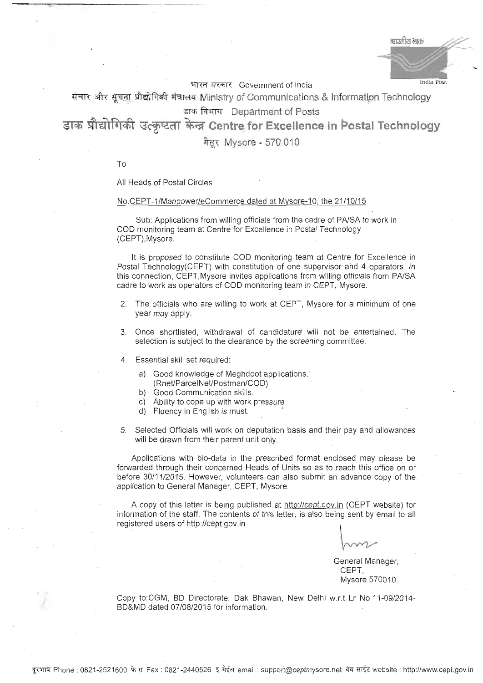भारतीय डाक India Post

भारत सरकार Government of India

संचार और सूचना प्रौद्योगिकी मंत्रालय Ministry of Communications & Information Technology डाक विभाग Department of Posts

डाक प्रौद्योगिकी उत्कृष्टता केन्द्र Centre for Excellence in Postal Technology

मैसूर Mysore - 570 010

To

All Heads of Postal Circles

## No.CEPT-1/Manpower/eCommerce dated at Mysore-10, the 21/10/15

sub: Applications from willing officials from the cadre of PA/SA to work in COD monitoring team at Centre for Excellence in Postal Technology (CEPT),Mysore.

It is proposed to constitute COD monitoring team at Centre for Excellence in postal Technology(CEPT) with constitution of one supervisor and 4 operators. In this connection, CEPT,Mysore invites applications from willing officials from PA/SA cadre to work as operators of COD monitoring team in CEPT. Mysore.

- 2. The officials who are willing to work at CEPT, Mysore for a minimum of one year may apply.
- 3. Once shortlisted, withdrawal of candidature' will not be entertained. The selection is subject to the clearance by the screening committee.
- 4. Essential skill set required:
	- a) Good knowledge of Meghdoot applications. (Rnet/ParcelNet/Postman/COD)
	-
	- b) Good Communication skills.
	- c) Ability to cope up with work pressure
	- d) Fluency in English is must.
- 5. Selected Officials will work on deputation basis and their pay and allowances will be drawn from their parent unit only.

Applications with bio-data in the prescribed format enclosed may please be forwarded through their concerned Heads of Units so as to reach this office on or before 30/11/2015. However, volunteers can also submit an advance copy of the application to General Manager, CEPT, Mysore.

A copy of this letter is being published at http://cept.gov.in (CEPT website) for information of the staff. The contents of this letter, is also being sent by email to all registered users of http://cept.gov.in

General Manager, CEPT, Mysore 570010.

Copy to:CGM, BD Directorate, Dak Bhawan, New Delhi w.r.t Lr No.11-09i2014- BD&MD dated 07/0812Q15 for information.